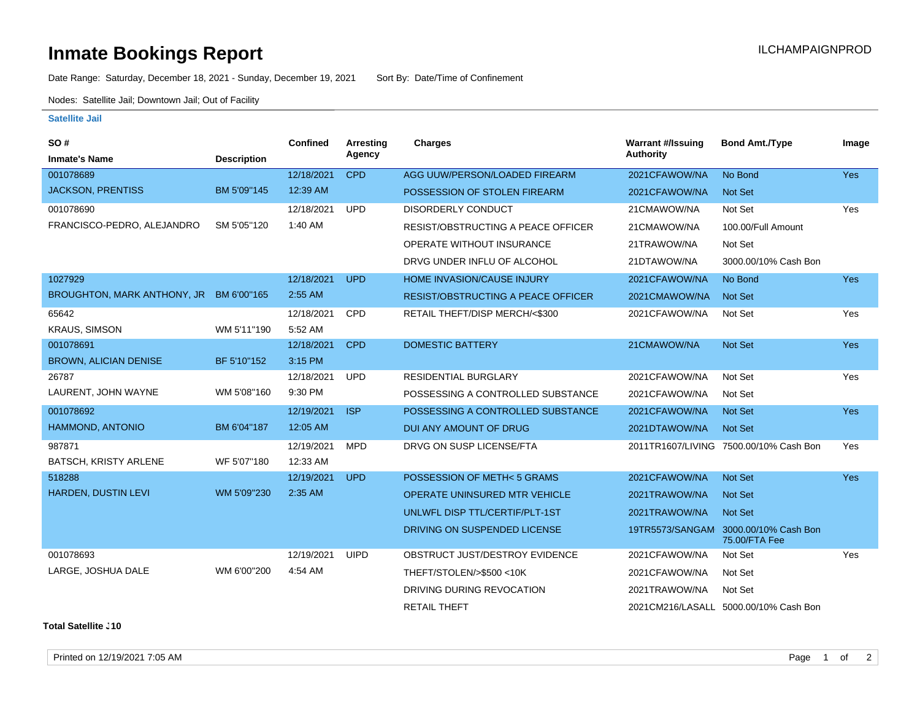## **Inmate Bookings Report Installation ILCHAMPAIGNPROD**

Date Range: Saturday, December 18, 2021 - Sunday, December 19, 2021 Sort By: Date/Time of Confinement

Nodes: Satellite Jail; Downtown Jail; Out of Facility

## **Satellite Jail**

| SO#                                     |                    | <b>Confined</b> | Arresting   | <b>Charges</b>                            | <b>Warrant #/Issuing</b> | <b>Bond Amt./Type</b>                                 | Image      |
|-----------------------------------------|--------------------|-----------------|-------------|-------------------------------------------|--------------------------|-------------------------------------------------------|------------|
| <b>Inmate's Name</b>                    | <b>Description</b> |                 | Agency      |                                           | <b>Authority</b>         |                                                       |            |
| 001078689                               |                    | 12/18/2021      | <b>CPD</b>  | AGG UUW/PERSON/LOADED FIREARM             | 2021CFAWOW/NA            | No Bond                                               | <b>Yes</b> |
| <b>JACKSON, PRENTISS</b>                | BM 5'09"145        | 12:39 AM        |             | POSSESSION OF STOLEN FIREARM              | 2021CFAWOW/NA            | <b>Not Set</b>                                        |            |
| 001078690                               |                    | 12/18/2021      | <b>UPD</b>  | <b>DISORDERLY CONDUCT</b>                 | 21CMAWOW/NA              | Not Set                                               | Yes        |
| FRANCISCO-PEDRO, ALEJANDRO              | SM 5'05"120        | 1:40 AM         |             | RESIST/OBSTRUCTING A PEACE OFFICER        | 21CMAWOW/NA              | 100.00/Full Amount                                    |            |
|                                         |                    |                 |             | OPERATE WITHOUT INSURANCE                 | 21TRAWOW/NA              | Not Set                                               |            |
|                                         |                    |                 |             | DRVG UNDER INFLU OF ALCOHOL               | 21DTAWOW/NA              | 3000.00/10% Cash Bon                                  |            |
| 1027929                                 |                    | 12/18/2021      | <b>UPD</b>  | HOME INVASION/CAUSE INJURY                | 2021CFAWOW/NA            | No Bond                                               | Yes        |
| BROUGHTON, MARK ANTHONY, JR BM 6'00"165 |                    | 2:55 AM         |             | <b>RESIST/OBSTRUCTING A PEACE OFFICER</b> | 2021CMAWOW/NA            | <b>Not Set</b>                                        |            |
| 65642                                   |                    | 12/18/2021      | CPD         | RETAIL THEFT/DISP MERCH/<\$300            | 2021CFAWOW/NA            | Not Set                                               | Yes        |
| <b>KRAUS, SIMSON</b>                    | WM 5'11"190        | 5:52 AM         |             |                                           |                          |                                                       |            |
| 001078691                               |                    | 12/18/2021      | <b>CPD</b>  | <b>DOMESTIC BATTERY</b>                   | 21CMAWOW/NA              | <b>Not Set</b>                                        | <b>Yes</b> |
| <b>BROWN, ALICIAN DENISE</b>            | BF 5'10"152        | 3:15 PM         |             |                                           |                          |                                                       |            |
| 26787                                   |                    | 12/18/2021      | <b>UPD</b>  | <b>RESIDENTIAL BURGLARY</b>               | 2021CFAWOW/NA            | Not Set                                               | Yes        |
| LAURENT, JOHN WAYNE                     | WM 5'08"160        | 9:30 PM         |             | POSSESSING A CONTROLLED SUBSTANCE         | 2021CFAWOW/NA            | Not Set                                               |            |
| 001078692                               |                    | 12/19/2021      | <b>ISP</b>  | POSSESSING A CONTROLLED SUBSTANCE         | 2021CFAWOW/NA            | <b>Not Set</b>                                        | <b>Yes</b> |
| HAMMOND, ANTONIO                        | BM 6'04"187        | 12:05 AM        |             | DUI ANY AMOUNT OF DRUG                    | 2021DTAWOW/NA            | <b>Not Set</b>                                        |            |
| 987871                                  |                    | 12/19/2021      | <b>MPD</b>  | DRVG ON SUSP LICENSE/FTA                  |                          | 2011TR1607/LIVING 7500.00/10% Cash Bon                | Yes        |
| BATSCH, KRISTY ARLENE                   | WF 5'07"180        | 12:33 AM        |             |                                           |                          |                                                       |            |
| 518288                                  |                    | 12/19/2021      | <b>UPD</b>  | POSSESSION OF METH<5 GRAMS                | 2021CFAWOW/NA            | <b>Not Set</b>                                        | <b>Yes</b> |
| HARDEN, DUSTIN LEVI                     | WM 5'09"230        | 2:35 AM         |             | <b>OPERATE UNINSURED MTR VEHICLE</b>      | 2021TRAWOW/NA            | <b>Not Set</b>                                        |            |
|                                         |                    |                 |             | UNLWFL DISP TTL/CERTIF/PLT-1ST            | 2021TRAWOW/NA            | <b>Not Set</b>                                        |            |
|                                         |                    |                 |             | DRIVING ON SUSPENDED LICENSE              |                          | 19TR5573/SANGAM 3000.00/10% Cash Bon<br>75.00/FTA Fee |            |
| 001078693                               |                    | 12/19/2021      | <b>UIPD</b> | OBSTRUCT JUST/DESTROY EVIDENCE            | 2021CFAWOW/NA            | Not Set                                               | Yes        |
| LARGE, JOSHUA DALE                      | WM 6'00"200        | 4:54 AM         |             | THEFT/STOLEN/>\$500 <10K                  | 2021CFAWOW/NA            | Not Set                                               |            |
|                                         |                    |                 |             | DRIVING DURING REVOCATION                 | 2021TRAWOW/NA            | Not Set                                               |            |
|                                         |                    |                 |             | <b>RETAIL THEFT</b>                       |                          | 2021CM216/LASALL 5000.00/10% Cash Bon                 |            |

**Total Satellite J10** 

Printed on 12/19/2021 7:05 AM Page 1 of 2